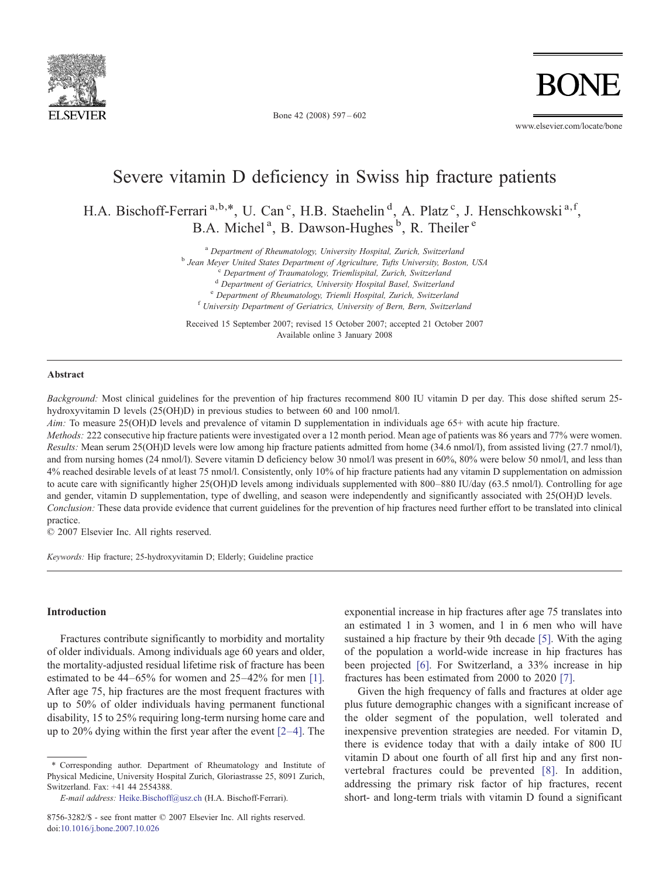

Bone 42 (2008) 597–602

www.elsevier.com/locate/bone

# Severe vitamin D deficiency in Swiss hip fracture patients

H.A. Bischoff-Ferrari<sup>a,b,\*</sup>, U. Can<sup>c</sup>, H.B. Staehelin<sup>d</sup>, A. Platz<sup>c</sup>, J. Henschkowski<sup>a,f</sup>, B.A. Michel<sup>a</sup>, B. Dawson-Hughes<sup>b</sup>, R. Theiler<sup>e</sup>

 $^{\text{a}}$  Department of Rheumatology, University Hospital, Zurich, Switzerland<br>  $^{\text{b}}$  Jean Meyer United States Department of Agriculture, Tufts University, Boston, USA<br>  $^{\text{c}}$  Department of Traumatology, Triemlispital

 $e^{\text{th}}$  Department of Rheumatology, Triemli Hospital, Zurich, Switzerland  $e^{\text{th}}$ University Department of Geriatrics, University of Bern, Bern, Switzerland

Received 15 September 2007; revised 15 October 2007; accepted 21 October 2007 Available online 3 January 2008

#### Abstract

Background: Most clinical guidelines for the prevention of hip fractures recommend 800 IU vitamin D per day. This dose shifted serum 25hydroxyvitamin D levels (25(OH)D) in previous studies to between 60 and 100 nmol/l.

Aim: To measure 25(OH)D levels and prevalence of vitamin D supplementation in individuals age 65+ with acute hip fracture.

Methods: 222 consecutive hip fracture patients were investigated over a 12 month period. Mean age of patients was 86 years and 77% were women. Results: Mean serum 25(OH)D levels were low among hip fracture patients admitted from home (34.6 nmol/l), from assisted living (27.7 nmol/l), and from nursing homes (24 nmol/l). Severe vitamin D deficiency below 30 nmol/l was present in 60%, 80% were below 50 nmol/l, and less than 4% reached desirable levels of at least 75 nmol/l. Consistently, only 10% of hip fracture patients had any vitamin D supplementation on admission to acute care with significantly higher 25(OH)D levels among individuals supplemented with 800–880 IU/day (63.5 nmol/l). Controlling for age and gender, vitamin D supplementation, type of dwelling, and season were independently and significantly associated with 25(OH)D levels. Conclusion: These data provide evidence that current guidelines for the prevention of hip fractures need further effort to be translated into clinical practice.

© 2007 Elsevier Inc. All rights reserved.

Keywords: Hip fracture; 25-hydroxyvitamin D; Elderly; Guideline practice

## Introduction

Fractures contribute significantly to morbidity and mortality of older individuals. Among individuals age 60 years and older, the mortality-adjusted residual lifetime risk of fracture has been estimated to be 44–65% for women and 25–42% for men [\[1\]](#page-4-0). After age 75, hip fractures are the most frequent fractures with up to 50% of older individuals having permanent functional disability, 15 to 25% requiring long-term nursing home care and up to 20% dying within the first year after the event [2–[4\]](#page-4-0). The exponential increase in hip fractures after age 75 translates into an estimated 1 in 3 women, and 1 in 6 men who will have sustained a hip fracture by their 9th decade [\[5\]](#page-4-0). With the aging of the population a world-wide increase in hip fractures has been projected [\[6\].](#page-4-0) For Switzerland, a 33% increase in hip fractures has been estimated from 2000 to 2020 [\[7\].](#page-4-0)

Given the high frequency of falls and fractures at older age plus future demographic changes with a significant increase of the older segment of the population, well tolerated and inexpensive prevention strategies are needed. For vitamin D, there is evidence today that with a daily intake of 800 IU vitamin D about one fourth of all first hip and any first nonvertebral fractures could be prevented [\[8\].](#page-4-0) In addition, addressing the primary risk factor of hip fractures, recent short- and long-term trials with vitamin D found a significant

<sup>⁎</sup> Corresponding author. Department of Rheumatology and Institute of Physical Medicine, University Hospital Zurich, Gloriastrasse 25, 8091 Zurich, Switzerland. Fax: +41 44 2554388.

E-mail address: [Heike.Bischoff@usz.ch](mailto:Heike.Bischoff@usz.ch) (H.A. Bischoff-Ferrari).

<sup>8756-3282/\$ -</sup> see front matter © 2007 Elsevier Inc. All rights reserved. doi:[10.1016/j.bone.2007.10.026](http://dx.doi.org/10.1016/j.bone.2007.10.026)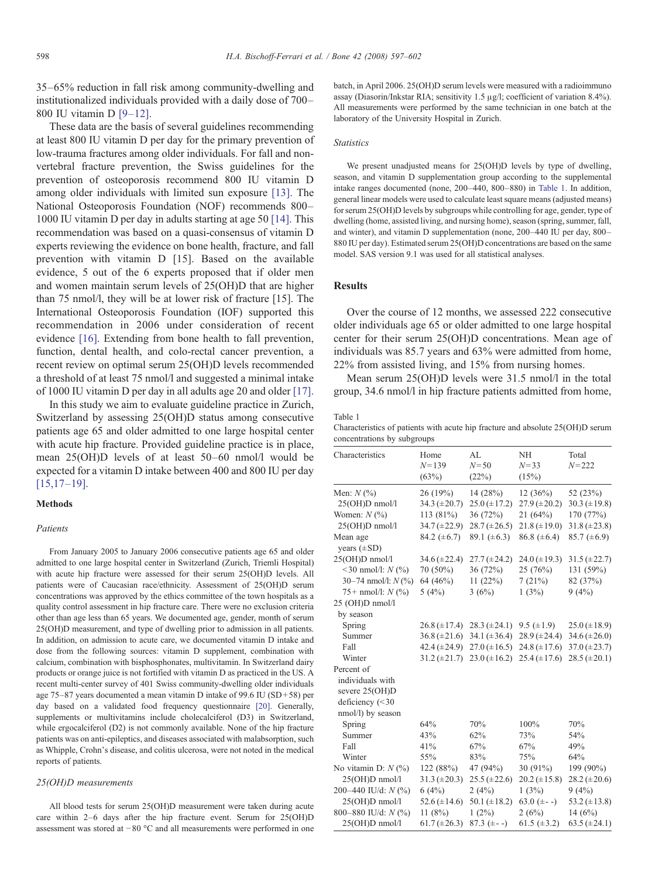<span id="page-1-0"></span>35–65% reduction in fall risk among community-dwelling and institutionalized individuals provided with a daily dose of 700– 800 IU vitamin D [9–[12\].](#page-4-0)

These data are the basis of several guidelines recommending at least 800 IU vitamin D per day for the primary prevention of low-trauma fractures among older individuals. For fall and nonvertebral fracture prevention, the Swiss guidelines for the prevention of osteoporosis recommend 800 IU vitamin D among older individuals with limited sun exposure [\[13\]](#page-4-0). The National Osteoporosis Foundation (NOF) recommends 800– 1000 IU vitamin D per day in adults starting at age 50 [\[14\].](#page-4-0) This recommendation was based on a quasi-consensus of vitamin D experts reviewing the evidence on bone health, fracture, and fall prevention with vitamin D [15]. Based on the available evidence, 5 out of the 6 experts proposed that if older men and women maintain serum levels of 25(OH)D that are higher than 75 nmol/l, they will be at lower risk of fracture [15]. The International Osteoporosis Foundation (IOF) supported this recommendation in 2006 under consideration of recent evidence [\[16\].](#page-4-0) Extending from bone health to fall prevention, function, dental health, and colo-rectal cancer prevention, a recent review on optimal serum 25(OH)D levels recommended a threshold of at least 75 nmol/l and suggested a minimal intake of 1000 IU vitamin D per day in all adults age 20 and older [\[17\]](#page-4-0).

In this study we aim to evaluate guideline practice in Zurich, Switzerland by assessing 25(OH)D status among consecutive patients age 65 and older admitted to one large hospital center with acute hip fracture. Provided guideline practice is in place, mean 25(OH)D levels of at least 50–60 nmol/l would be expected for a vitamin D intake between 400 and 800 IU per day [\[15,17](#page-4-0)–19].

## Methods

## **Patients**

From January 2005 to January 2006 consecutive patients age 65 and older admitted to one large hospital center in Switzerland (Zurich, Triemli Hospital) with acute hip fracture were assessed for their serum 25(OH)D levels. All patients were of Caucasian race/ethnicity. Assessment of 25(OH)D serum concentrations was approved by the ethics committee of the town hospitals as a quality control assessment in hip fracture care. There were no exclusion criteria other than age less than 65 years. We documented age, gender, month of serum 25(OH)D measurement, and type of dwelling prior to admission in all patients. In addition, on admission to acute care, we documented vitamin D intake and dose from the following sources: vitamin D supplement, combination with calcium, combination with bisphosphonates, multivitamin. In Switzerland dairy products or orange juice is not fortified with vitamin D as practiced in the US. A recent multi-center survey of 401 Swiss community-dwelling older individuals age 75–87 years documented a mean vitamin D intake of 99.6 IU (SD+58) per day based on a validated food frequency questionnaire [\[20\]](#page-5-0). Generally, supplements or multivitamins include cholecalciferol (D3) in Switzerland, while ergocalciferol (D2) is not commonly available. None of the hip fracture patients was on anti-epileptics, and diseases associated with malabsorption, such as Whipple, Crohn's disease, and colitis ulcerosa, were not noted in the medical reports of patients.

#### 25(OH)D measurements

All blood tests for serum 25(OH)D measurement were taken during acute care within 2–6 days after the hip fracture event. Serum for 25(OH)D assessment was stored at −80 °C and all measurements were performed in one batch, in April 2006. 25(OH)D serum levels were measured with a radioimmuno assay (Diasorin/Inkstar RIA; sensitivity 1.5 μg/l; coefficient of variation 8.4%). All measurements were performed by the same technician in one batch at the laboratory of the University Hospital in Zurich.

#### **Statistics**

We present unadjusted means for 25(OH)D levels by type of dwelling, season, and vitamin D supplementation group according to the supplemental intake ranges documented (none, 200–440, 800–880) in Table 1. In addition, general linear models were used to calculate least square means (adjusted means) for serum 25(OH)D levels by subgroups while controlling for age, gender, type of dwelling (home, assisted living, and nursing home), season (spring, summer, fall, and winter), and vitamin D supplementation (none, 200–440 IU per day, 800– 880 IU per day). Estimated serum 25(OH)D concentrations are based on the same model. SAS version 9.1 was used for all statistical analyses.

## **Results**

Over the course of 12 months, we assessed 222 consecutive older individuals age 65 or older admitted to one large hospital center for their serum 25(OH)D concentrations. Mean age of individuals was 85.7 years and 63% were admitted from home, 22% from assisted living, and 15% from nursing homes.

Mean serum 25(OH)D levels were 31.5 nmol/l in the total group, 34.6 nmol/l in hip fracture patients admitted from home,

#### Table 1

Characteristics of patients with acute hip fracture and absolute 25(OH)D serum concentrations by subgroups

| Characteristics              | Home<br>$N = 139$<br>(63%) | AL<br>$N = 50$<br>(22%) | NH<br>$N = 33$<br>(15%) | Total<br>$N = 222$  |
|------------------------------|----------------------------|-------------------------|-------------------------|---------------------|
| Men: $N$ $(\% )$             | 26(19%)                    | 14(28%)                 | 12(36%)                 | 52 (23%)            |
| 25(OH)D nmol/l               | 34.3 $(\pm 20.7)$          | $25.0 (\pm 17.2)$       | $27.9 (\pm 20.2)$       | $30.3 (\pm 19.8)$   |
| Women: $N$ $(\%)$            | 113 (81%)                  | 36 (72%)                | 21(64%)                 | 170 (77%)           |
| 25(OH)D nmol/l               | $34.7 (\pm 22.9)$          | $28.7 (\pm 26.5)$       | $21.8 (\pm 19.0)$       | $31.8 (\pm 23.8)$   |
| Mean age<br>years $(\pm SD)$ | 84.2 $(\pm 6.7)$           | 89.1 $(\pm 6.3)$        | $86.8 (\pm 6.4)$        | $85.7 (\pm 6.9)$    |
| 25(OH)D nmol/l               | $34.6 (\pm 22.4)$          | $27.7 (\pm 24.2)$       | 24.0 $(\pm 19.3)$       | $31.5 (\pm 22.7)$   |
| <30 nmol/l: $N$ (%)          | 70 (50%)                   | 36 (72%)                | 25(76%)                 | 131 (59%)           |
| 30-74 nmol/l: N (%)          | 64 (46%)                   | 11(22%)                 | 7(21%)                  | 82 (37%)            |
| 75+ nmol/l: $N$ (%)          | 5(4%)                      | 3(6%)                   | 1(3%)                   | 9(4%)               |
| 25 (OH)D nmol/l              |                            |                         |                         |                     |
| by season                    |                            |                         |                         |                     |
| Spring                       | $26.8 \ (\pm 17.4)$        | $28.3 (\pm 24.1)$       | 9.5 $(\pm 1.9)$         | $25.0 \ (\pm 18.9)$ |
| Summer                       | $36.8 (\pm 21.6)$          | 34.1 $(\pm 36.4)$       | $28.9 (\pm 24.4)$       | $34.6 (\pm 26.0)$   |
| Fall                         | 42.4 $(\pm 24.9)$          | $27.0 (\pm 16.5)$       | 24.8 $(\pm 17.6)$       | $37.0 (\pm 23.7)$   |
| Winter                       | $31.2 (\pm 21.7)$          | $23.0 (\pm 16.2)$       | $25.4 (\pm 17.6)$       | $28.5 (\pm 20.1)$   |
| Percent of                   |                            |                         |                         |                     |
| individuals with             |                            |                         |                         |                     |
| severe 25(OH)D               |                            |                         |                         |                     |
| deficiency (<30              |                            |                         |                         |                     |
| nmol/l) by season            |                            |                         |                         |                     |
| Spring                       | 64%                        | 70%                     | 100%                    | 70%                 |
| Summer                       | 43%                        | 62%                     | 73%                     | 54%                 |
| Fall                         | 41%                        | 67%                     | 67%                     | 49%                 |
| Winter                       | 55%                        | 83%                     | 75%                     | 64%                 |
| No vitamin D: $N$ (%)        | 122 (88%)                  | 47 (94%)                | 30 (91%)                | 199 (90%)           |
| 25(OH)D nmol/l               | $31.3 (\pm 20.3)$          | $25.5 (\pm 22.6)$       | $20.2 (\pm 15.8)$       | $28.2 (\pm 20.6)$   |
| 200-440 IU/d: $N$ (%)        | 6(4%)                      | 2(4%)                   | 1(3%)                   | 9(4%)               |
| 25(OH)D nmol/l               | 52.6 ( $\pm$ 14.6)         | 50.1 ( $\pm$ 18.2)      | 63.0 $(\pm -)$          | 53.2 $(\pm 13.8)$   |
| 800-880 IU/d: N (%)          | 11 $(8%)$                  | $1(2\%)$                | 2(6%)                   | 14 $(6%)$           |
| 25(OH)D nmol/l               | $61.7 (\pm 26.3)$          | $87.3 (+-)$             | 61.5 $(\pm 3.2)$        | $63.5 (\pm 24.1)$   |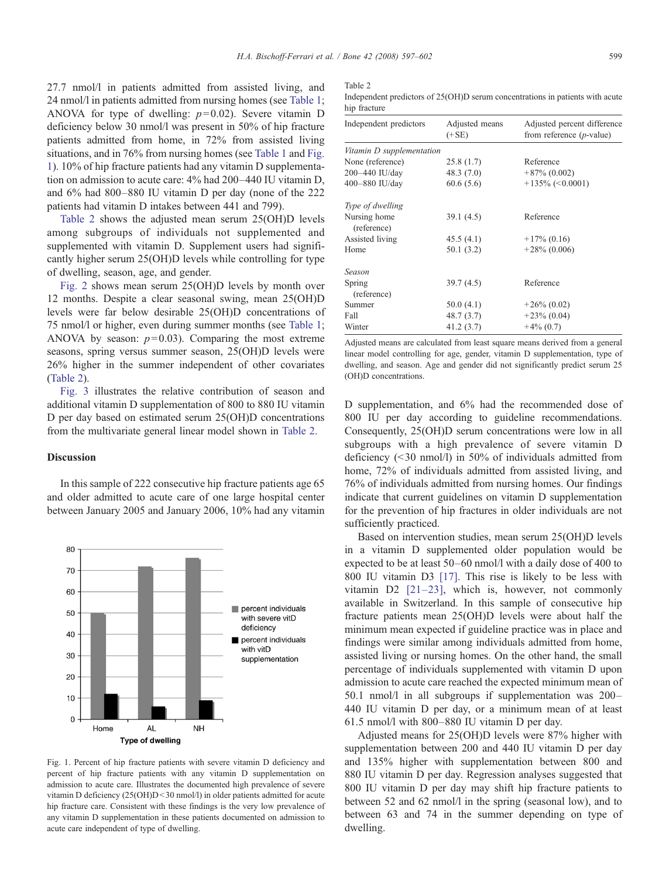<span id="page-2-0"></span>27.7 nmol/l in patients admitted from assisted living, and 24 nmol/l in patients admitted from nursing homes (see [Table 1;](#page-1-0) ANOVA for type of dwelling:  $p=0.02$ ). Severe vitamin D deficiency below 30 nmol/l was present in 50% of hip fracture patients admitted from home, in 72% from assisted living situations, and in 76% from nursing homes (see [Table 1](#page-1-0) and Fig. 1). 10% of hip fracture patients had any vitamin D supplementation on admission to acute care: 4% had 200–440 IU vitamin D, and 6% had 800–880 IU vitamin D per day (none of the 222 patients had vitamin D intakes between 441 and 799).

Table 2 shows the adjusted mean serum 25(OH)D levels among subgroups of individuals not supplemented and supplemented with vitamin D. Supplement users had significantly higher serum 25(OH)D levels while controlling for type of dwelling, season, age, and gender.

[Fig. 2](#page-3-0) shows mean serum 25(OH)D levels by month over 12 months. Despite a clear seasonal swing, mean 25(OH)D levels were far below desirable 25(OH)D concentrations of 75 nmol/l or higher, even during summer months (see [Table 1;](#page-1-0) ANOVA by season:  $p=0.03$ ). Comparing the most extreme seasons, spring versus summer season, 25(OH)D levels were 26% higher in the summer independent of other covariates (Table 2).

[Fig. 3](#page-3-0) illustrates the relative contribution of season and additional vitamin D supplementation of 800 to 880 IU vitamin D per day based on estimated serum 25(OH)D concentrations from the multivariate general linear model shown in Table 2.

### Discussion

In this sample of 222 consecutive hip fracture patients age 65 and older admitted to acute care of one large hospital center between January 2005 and January 2006, 10% had any vitamin



Fig. 1. Percent of hip fracture patients with severe vitamin D deficiency and percent of hip fracture patients with any vitamin D supplementation on admission to acute care. Illustrates the documented high prevalence of severe vitamin D deficiency  $(25(OH)D<30$  nmol/l) in older patients admitted for acute hip fracture care. Consistent with these findings is the very low prevalence of any vitamin D supplementation in these patients documented on admission to acute care independent of type of dwelling.

## Table 2

Independent predictors of 25(OH)D serum concentrations in patients with acute hip fracture

| Independent predictors      | Adjusted means<br>$(+SE)$ | Adjusted percent difference<br>from reference $(p$ -value) |
|-----------------------------|---------------------------|------------------------------------------------------------|
| Vitamin D supplementation   |                           |                                                            |
| None (reference)            | 25.8(1.7)                 | Reference                                                  |
| 200-440 IU/day              | 48.3(7.0)                 | $+87\%$ (0.002)                                            |
| 400-880 IU/day              | 60.6(5.6)                 | $+135\%$ (<0.0001)                                         |
| Type of dwelling            |                           |                                                            |
| Nursing home<br>(reference) | 39.1(4.5)                 | Reference                                                  |
| Assisted living             | 45.5(4.1)                 | $+17\%$ (0.16)                                             |
| Home                        | 50.1(3.2)                 | $+28\%$ (0.006)                                            |
| Season                      |                           |                                                            |
| Spring<br>(reference)       | 39.7(4.5)                 | Reference                                                  |
| Summer                      | 50.0(4.1)                 | $+26\%$ (0.02)                                             |
| Fall                        | 48.7(3.7)                 | $+23\%$ (0.04)                                             |
| Winter                      | 41.2(3.7)                 | $+4\%$ (0.7)                                               |

Adjusted means are calculated from least square means derived from a general linear model controlling for age, gender, vitamin D supplementation, type of dwelling, and season. Age and gender did not significantly predict serum 25 (OH)D concentrations.

D supplementation, and 6% had the recommended dose of 800 IU per day according to guideline recommendations. Consequently, 25(OH)D serum concentrations were low in all subgroups with a high prevalence of severe vitamin D deficiency  $(\leq 30 \text{ nmol/l})$  in 50% of individuals admitted from home,  $72\%$  of individuals admitted from assisted living, and 76% of individuals admitted from nursing homes. Our findings indicate that current guidelines on vitamin D supplementation for the prevention of hip fractures in older individuals are not sufficiently practiced.

Based on intervention studies, mean serum 25(OH)D levels in a vitamin D supplemented older population would be expected to be at least 50–60 nmol/l with a daily dose of 400 to 800 IU vitamin D3 [\[17\].](#page-4-0) This rise is likely to be less with vitamin D2 [21–[23\],](#page-5-0) which is, however, not commonly available in Switzerland. In this sample of consecutive hip fracture patients mean 25(OH)D levels were about half the minimum mean expected if guideline practice was in place and findings were similar among individuals admitted from home, assisted living or nursing homes. On the other hand, the small percentage of individuals supplemented with vitamin D upon admission to acute care reached the expected minimum mean of 50.1 nmol/l in all subgroups if supplementation was 200– 440 IU vitamin D per day, or a minimum mean of at least 61.5 nmol/l with 800–880 IU vitamin D per day.

Adjusted means for 25(OH)D levels were 87% higher with supplementation between 200 and 440 IU vitamin D per day and 135% higher with supplementation between 800 and 880 IU vitamin D per day. Regression analyses suggested that 800 IU vitamin D per day may shift hip fracture patients to between 52 and 62 nmol/l in the spring (seasonal low), and to between 63 and 74 in the summer depending on type of dwelling.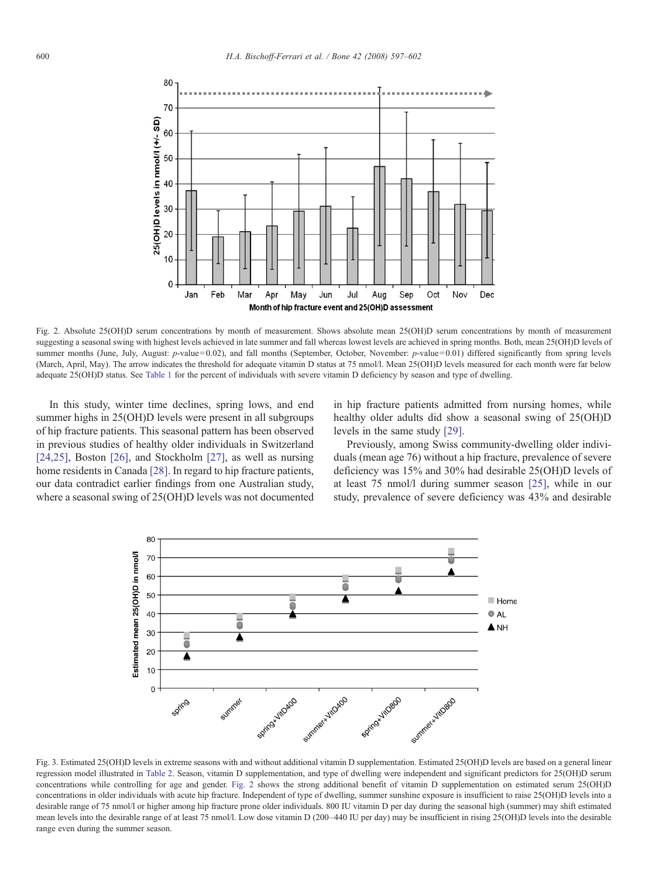<span id="page-3-0"></span>

Fig. 2. Absolute 25(OH)D serum concentrations by month of measurement. Shows absolute mean 25(OH)D serum concentrations by month of measurement suggesting a seasonal swing with highest levels achieved in late summer and fall whereas lowest levels are achieved in spring months. Both, mean 25(OH)D levels of summer months (June, July, August: p-value=0.02), and fall months (September, October, November: p-value=0.01) differed significantly from spring levels (March, April, May). The arrow indicates the threshold for adequate vitamin D status at 75 nmol/l. Mean 25(OH)D levels measured for each month were far below adequate 25(OH)D status. See [Table 1](#page-1-0) for the percent of individuals with severe vitamin D deficiency by season and type of dwelling.

In this study, winter time declines, spring lows, and end summer highs in 25(OH)D levels were present in all subgroups of hip fracture patients. This seasonal pattern has been observed in previous studies of healthy older individuals in Switzerland [\[24,25\],](#page-5-0) Boston [\[26\]](#page-5-0), and Stockholm [\[27\]](#page-5-0), as well as nursing home residents in Canada [\[28\].](#page-5-0) In regard to hip fracture patients, our data contradict earlier findings from one Australian study, where a seasonal swing of 25(OH)D levels was not documented in hip fracture patients admitted from nursing homes, while healthy older adults did show a seasonal swing of 25(OH)D levels in the same study [\[29\].](#page-5-0)

Previously, among Swiss community-dwelling older individuals (mean age 76) without a hip fracture, prevalence of severe deficiency was 15% and 30% had desirable 25(OH)D levels of at least 75 nmol/l during summer season [\[25\]](#page-5-0), while in our study, prevalence of severe deficiency was 43% and desirable



Fig. 3. Estimated 25(OH)D levels in extreme seasons with and without additional vitamin D supplementation. Estimated 25(OH)D levels are based on a general linear regression model illustrated in [Table 2.](#page-2-0) Season, vitamin D supplementation, and type of dwelling were independent and significant predictors for 25(OH)D serum concentrations while controlling for age and gender. Fig. 2 shows the strong additional benefit of vitamin D supplementation on estimated serum 25(OH)D concentrations in older individuals with acute hip fracture. Independent of type of dwelling, summer sunshine exposure is insufficient to raise 25(OH)D levels into a desirable range of 75 nmol/l or higher among hip fracture prone older individuals. 800 IU vitamin D per day during the seasonal high (summer) may shift estimated mean levels into the desirable range of at least 75 nmol/l. Low dose vitamin D (200-440 IU per day) may be insufficient in rising 25(OH)D levels into the desirable range even during the summer season.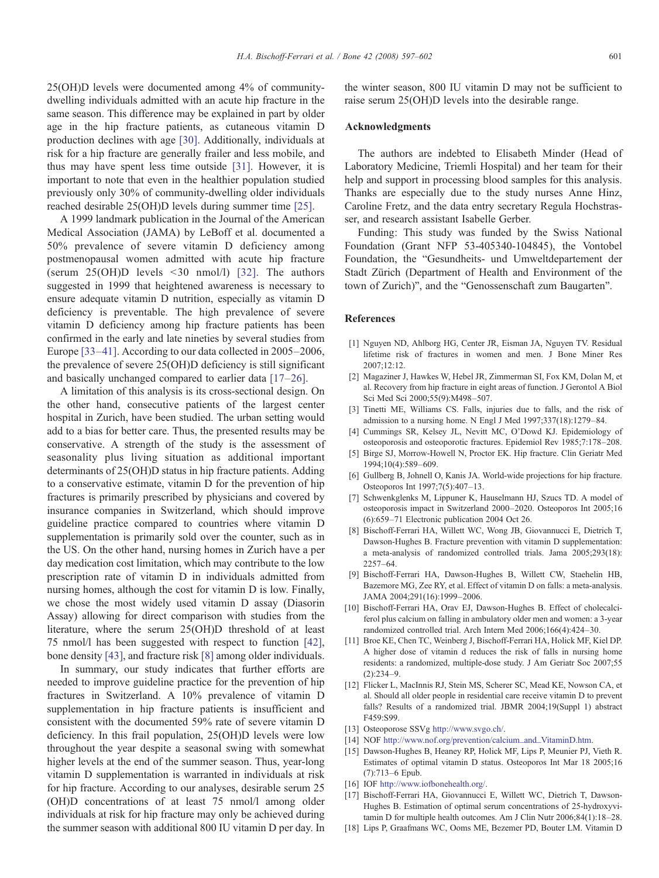<span id="page-4-0"></span>25(OH)D levels were documented among 4% of communitydwelling individuals admitted with an acute hip fracture in the same season. This difference may be explained in part by older age in the hip fracture patients, as cutaneous vitamin D production declines with age [\[30\]](#page-5-0). Additionally, individuals at risk for a hip fracture are generally frailer and less mobile, and thus may have spent less time outside [\[31\]](#page-5-0). However, it is important to note that even in the healthier population studied previously only 30% of community-dwelling older individuals reached desirable 25(OH)D levels during summer time [\[25\]](#page-5-0).

A 1999 landmark publication in the Journal of the American Medical Association (JAMA) by LeBoff et al. documented a 50% prevalence of severe vitamin D deficiency among postmenopausal women admitted with acute hip fracture (serum  $25(OH)D$  levels  $\leq 30$  nmol/l) [\[32\].](#page-5-0) The authors suggested in 1999 that heightened awareness is necessary to ensure adequate vitamin D nutrition, especially as vitamin D deficiency is preventable. The high prevalence of severe vitamin D deficiency among hip fracture patients has been confirmed in the early and late nineties by several studies from Europe [33–[41\].](#page-5-0) According to our data collected in 2005–2006, the prevalence of severe 25(OH)D deficiency is still significant and basically unchanged compared to earlier data [17–26].

A limitation of this analysis is its cross-sectional design. On the other hand, consecutive patients of the largest center hospital in Zurich, have been studied. The urban setting would add to a bias for better care. Thus, the presented results may be conservative. A strength of the study is the assessment of seasonality plus living situation as additional important determinants of 25(OH)D status in hip fracture patients. Adding to a conservative estimate, vitamin D for the prevention of hip fractures is primarily prescribed by physicians and covered by insurance companies in Switzerland, which should improve guideline practice compared to countries where vitamin D supplementation is primarily sold over the counter, such as in the US. On the other hand, nursing homes in Zurich have a per day medication cost limitation, which may contribute to the low prescription rate of vitamin D in individuals admitted from nursing homes, although the cost for vitamin D is low. Finally, we chose the most widely used vitamin D assay (Diasorin Assay) allowing for direct comparison with studies from the literature, where the serum 25(OH)D threshold of at least 75 nmol/l has been suggested with respect to function [\[42\]](#page-5-0), bone density [\[43\]](#page-5-0), and fracture risk [8] among older individuals.

In summary, our study indicates that further efforts are needed to improve guideline practice for the prevention of hip fractures in Switzerland. A 10% prevalence of vitamin D supplementation in hip fracture patients is insufficient and consistent with the documented 59% rate of severe vitamin D deficiency. In this frail population, 25(OH)D levels were low throughout the year despite a seasonal swing with somewhat higher levels at the end of the summer season. Thus, year-long vitamin D supplementation is warranted in individuals at risk for hip fracture. According to our analyses, desirable serum 25 (OH)D concentrations of at least 75 nmol/l among older individuals at risk for hip fracture may only be achieved during the summer season with additional 800 IU vitamin D per day. In the winter season, 800 IU vitamin D may not be sufficient to raise serum 25(OH)D levels into the desirable range.

## Acknowledgments

The authors are indebted to Elisabeth Minder (Head of Laboratory Medicine, Triemli Hospital) and her team for their help and support in processing blood samples for this analysis. Thanks are especially due to the study nurses Anne Hinz, Caroline Fretz, and the data entry secretary Regula Hochstrasser, and research assistant Isabelle Gerber.

Funding: This study was funded by the Swiss National Foundation (Grant NFP 53-405340-104845), the Vontobel Foundation, the "Gesundheits- und Umweltdepartement der Stadt Zürich (Department of Health and Environment of the town of Zurich)", and the "Genossenschaft zum Baugarten".

#### References

- [1] Nguyen ND, Ahlborg HG, Center JR, Eisman JA, Nguyen TV. Residual lifetime risk of fractures in women and men. J Bone Miner Res 2007;12:12.
- [2] Magaziner J, Hawkes W, Hebel JR, Zimmerman SI, Fox KM, Dolan M, et al. Recovery from hip fracture in eight areas of function. J Gerontol A Biol Sci Med Sci 2000;55(9):M498–507.
- [3] Tinetti ME, Williams CS. Falls, injuries due to falls, and the risk of admission to a nursing home. N Engl J Med 1997;337(18):1279–84.
- [4] Cummings SR, Kelsey JL, Nevitt MC, O'Dowd KJ. Epidemiology of osteoporosis and osteoporotic fractures. Epidemiol Rev 1985;7:178–208.
- [5] Birge SJ, Morrow-Howell N, Proctor EK. Hip fracture. Clin Geriatr Med 1994;10(4):589–609.
- [6] Gullberg B, Johnell O, Kanis JA. World-wide projections for hip fracture. Osteoporos Int 1997;7(5):407–13.
- [7] Schwenkglenks M, Lippuner K, Hauselmann HJ, Szucs TD. A model of osteoporosis impact in Switzerland 2000–2020. Osteoporos Int 2005;16 (6):659–71 Electronic publication 2004 Oct 26.
- [8] Bischoff-Ferrari HA, Willett WC, Wong JB, Giovannucci E, Dietrich T, Dawson-Hughes B. Fracture prevention with vitamin D supplementation: a meta-analysis of randomized controlled trials. Jama 2005;293(18): 2257–64.
- [9] Bischoff-Ferrari HA, Dawson-Hughes B, Willett CW, Staehelin HB, Bazemore MG, Zee RY, et al. Effect of vitamin D on falls: a meta-analysis. JAMA 2004;291(16):1999–2006.
- [10] Bischoff-Ferrari HA, Orav EJ, Dawson-Hughes B. Effect of cholecalciferol plus calcium on falling in ambulatory older men and women: a 3-year randomized controlled trial. Arch Intern Med 2006;166(4):424–30.
- [11] Broe KE, Chen TC, Weinberg J, Bischoff-Ferrari HA, Holick MF, Kiel DP. A higher dose of vitamin d reduces the risk of falls in nursing home residents: a randomized, multiple-dose study. J Am Geriatr Soc 2007;55  $(2):234-9.$
- [12] Flicker L, MacInnis RJ, Stein MS, Scherer SC, Mead KE, Nowson CA, et al. Should all older people in residential care receive vitamin D to prevent falls? Results of a randomized trial. JBMR 2004;19(Suppl 1) abstract F459:S99.
- [13] Osteoporose SSVg <http://www.svgo.ch/>.
- [14] NOF [http://www.nof.org/prevention/calcium\\_and\\_VitaminD.htm.](http://www.nof.org/prevention/calcium_and_VitaminD.htm)
- [15] Dawson-Hughes B, Heaney RP, Holick MF, Lips P, Meunier PJ, Vieth R. Estimates of optimal vitamin D status. Osteoporos Int Mar 18 2005;16 (7):713–6 Epub.
- [16] IOF [http://www.iofbonehealth.org/.](http://www.iofbonehealth.org/)
- [17] Bischoff-Ferrari HA, Giovannucci E, Willett WC, Dietrich T, Dawson-Hughes B. Estimation of optimal serum concentrations of 25-hydroxyvitamin D for multiple health outcomes. Am J Clin Nutr 2006;84(1):18–28.
- [18] Lips P, Graafmans WC, Ooms ME, Bezemer PD, Bouter LM. Vitamin D